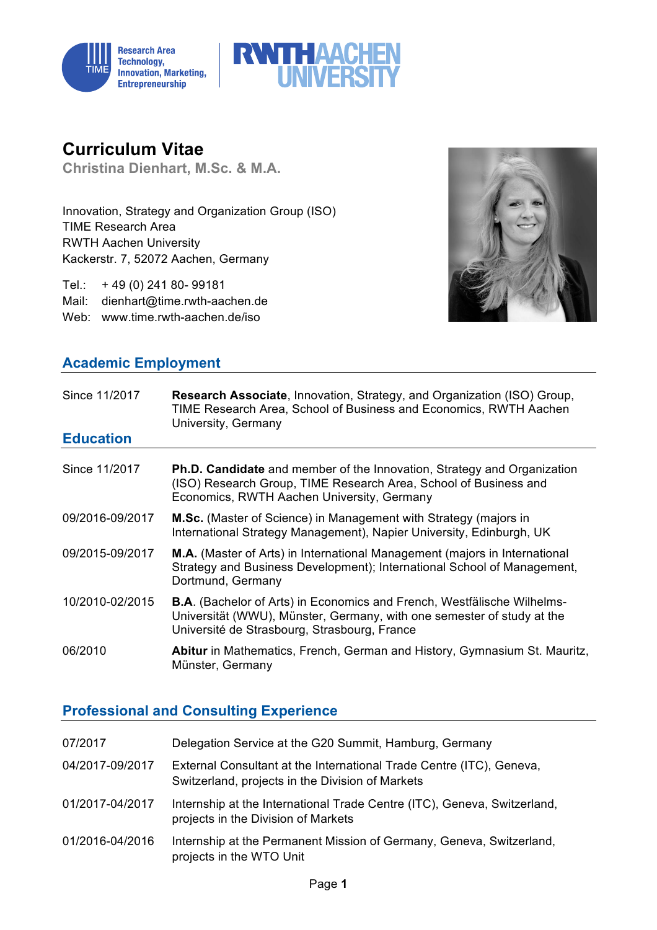



**Curriculum Vitae**

**Christina Dienhart, M.Sc. & M.A.** 

Innovation, Strategy and Organization Group (ISO) TIME Research Area RWTH Aachen University Kackerstr. 7, 52072 Aachen, Germany

Tel.: + 49 (0) 241 80- 99181 Mail: dienhart@time.rwth-aachen.de Web: www.time.rwth-aachen.de/iso



# **Academic Employment**

| Since 11/2017<br><b>Education</b> | Research Associate, Innovation, Strategy, and Organization (ISO) Group,<br>TIME Research Area, School of Business and Economics, RWTH Aachen<br>University, Germany                                      |
|-----------------------------------|----------------------------------------------------------------------------------------------------------------------------------------------------------------------------------------------------------|
| Since 11/2017                     | <b>Ph.D. Candidate</b> and member of the Innovation, Strategy and Organization                                                                                                                           |
|                                   | (ISO) Research Group, TIME Research Area, School of Business and<br>Economics, RWTH Aachen University, Germany                                                                                           |
| 09/2016-09/2017                   | M.Sc. (Master of Science) in Management with Strategy (majors in<br>International Strategy Management), Napier University, Edinburgh, UK                                                                 |
| 09/2015-09/2017                   | <b>M.A.</b> (Master of Arts) in International Management (majors in International<br>Strategy and Business Development); International School of Management,<br>Dortmund, Germany                        |
| 10/2010-02/2015                   | <b>B.A.</b> (Bachelor of Arts) in Economics and French, Westfälische Wilhelms-<br>Universität (WWU), Münster, Germany, with one semester of study at the<br>Université de Strasbourg, Strasbourg, France |
| 06/2010                           | Abitur in Mathematics, French, German and History, Gymnasium St. Mauritz,<br>Münster, Germany                                                                                                            |

# **Professional and Consulting Experience**

| 07/2017         | Delegation Service at the G20 Summit, Hamburg, Germany                                                                   |
|-----------------|--------------------------------------------------------------------------------------------------------------------------|
| 04/2017-09/2017 | External Consultant at the International Trade Centre (ITC), Geneva,<br>Switzerland, projects in the Division of Markets |
| 01/2017-04/2017 | Internship at the International Trade Centre (ITC), Geneva, Switzerland,<br>projects in the Division of Markets          |
| 01/2016-04/2016 | Internship at the Permanent Mission of Germany, Geneva, Switzerland,<br>projects in the WTO Unit                         |